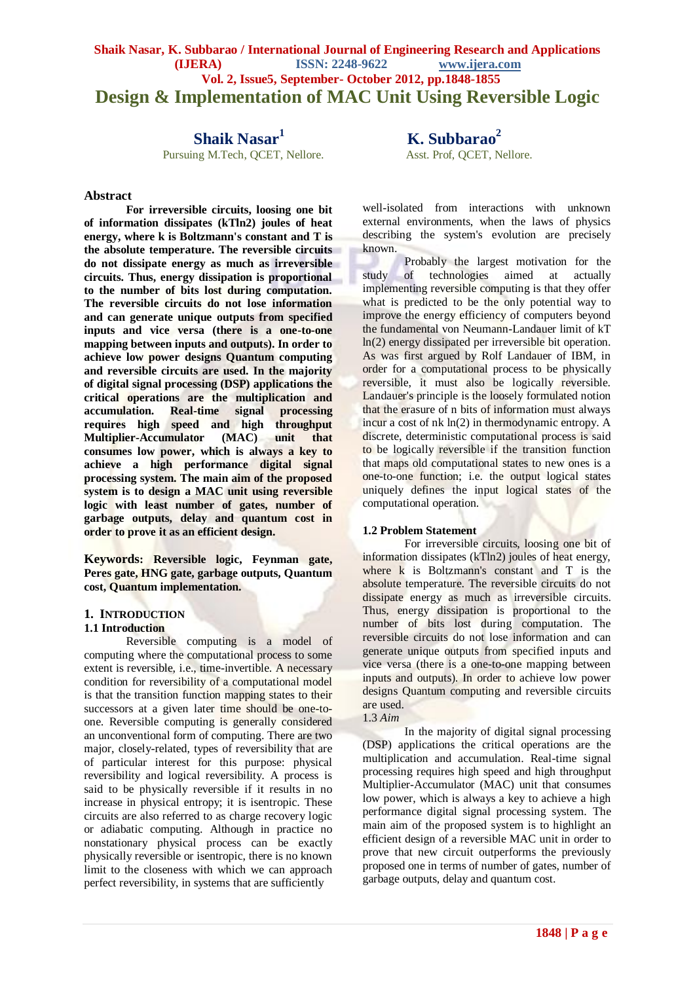# **Shaik Nasar, K. Subbarao / International Journal of Engineering Research and Applications (IJERA) ISSN: 2248-9622 www.ijera.com Vol. 2, Issue5, September- October 2012, pp.1848-1855 Design & Implementation of MAC Unit Using Reversible Logic**

# **Shaik Nasar<sup>1</sup>**

Pursuing M.Tech, OCET, Nellore. Asst. Prof, OCET, Nellore.

## **Abstract**

**For irreversible circuits, loosing one bit of information dissipates (kTln2) joules of heat energy, where k is Boltzmann's constant and T is the absolute temperature. The reversible circuits do not dissipate energy as much as irreversible circuits. Thus, energy dissipation is proportional to the number of bits lost during computation. The reversible circuits do not lose information and can generate unique outputs from specified inputs and vice versa (there is a one-to-one mapping between inputs and outputs). In order to achieve low power designs Quantum computing and reversible circuits are used. In the majority of digital signal processing (DSP) applications the critical operations are the multiplication and accumulation. Real-time signal processing requires high speed and high throughput Multiplier-Accumulator (MAC) unit that consumes low power, which is always a key to achieve a high performance digital signal processing system. The main aim of the proposed system is to design a MAC unit using reversible logic with least number of gates, number of garbage outputs, delay and quantum cost in order to prove it as an efficient design.**

**Keywords: Reversible logic, Feynman gate, Peres gate, HNG gate, garbage outputs, Quantum cost, Quantum implementation.**

#### **1. INTRODUCTION**

#### **1.1 Introduction**

Reversible computing is a model of computing where the computational process to some extent is reversible, i.e., time-invertible. A necessary condition for reversibility of a computational model is that the transition function mapping states to their successors at a given later time should be one-toone. Reversible computing is generally considered an unconventional form of computing. There are two major, closely-related, types of reversibility that are of particular interest for this purpose: physical reversibility and logical reversibility. A process is said to be physically reversible if it results in no increase in physical entropy; it is isentropic. These circuits are also referred to as charge recovery logic or adiabatic computing. Although in practice no nonstationary physical process can be exactly physically reversible or isentropic, there is no known limit to the closeness with which we can approach perfect reversibility, in systems that are sufficiently

 **K. Subbarao<sup>2</sup>**

well-isolated from interactions with unknown external environments, when the laws of physics describing the system's evolution are precisely known.

Probably the largest motivation for the study of technologies aimed at actually implementing reversible computing is that they offer what is predicted to be the only potential way to improve the energy efficiency of computers beyond the fundamental von Neumann-Landauer limit of kT ln(2) energy dissipated per irreversible bit operation. As was first argued by Rolf Landauer of IBM, in order for a computational process to be physically reversible, it must also be logically reversible. Landauer's principle is the loosely formulated notion that the erasure of n bits of information must always incur a cost of nk ln(2) in thermodynamic entropy. A discrete, deterministic computational process is said to be logically reversible if the transition function that maps old computational states to new ones is a one-to-one function; i.e. the output logical states uniquely defines the input logical states of the computational operation.

#### **1.2 Problem Statement**

For irreversible circuits, loosing one bit of information dissipates (kTln2) joules of heat energy, where  $k$  is Boltzmann's constant and  $T$  is the absolute temperature. The reversible circuits do not dissipate energy as much as irreversible circuits. Thus, energy dissipation is proportional to the number of bits lost during computation. The reversible circuits do not lose information and can generate unique outputs from specified inputs and vice versa (there is a one-to-one mapping between inputs and outputs). In order to achieve low power designs Quantum computing and reversible circuits are used.

### 1.3 *Aim*

In the majority of digital signal processing (DSP) applications the critical operations are the multiplication and accumulation. Real-time signal processing requires high speed and high throughput Multiplier-Accumulator (MAC) unit that consumes low power, which is always a key to achieve a high performance digital signal processing system. The main aim of the proposed system is to highlight an efficient design of a reversible MAC unit in order to prove that new circuit outperforms the previously proposed one in terms of number of gates, number of garbage outputs, delay and quantum cost.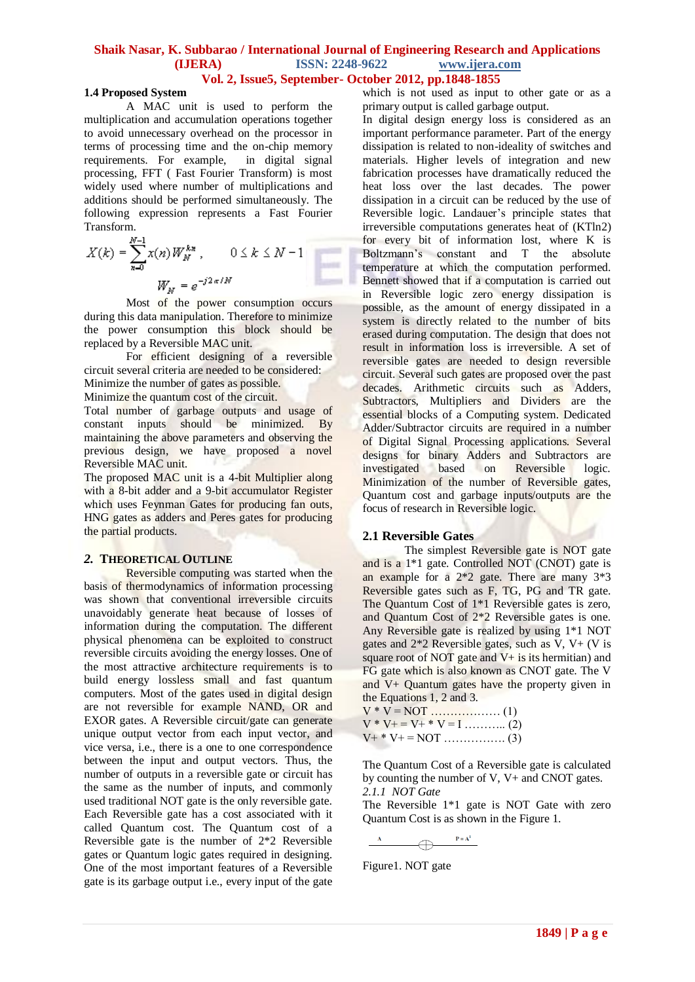### **Shaik Nasar, K. Subbarao / International Journal of Engineering Research and Applications (IJERA) ISSN: 2248-9622 www.ijera.com Vol. 2, Issue5, September- October 2012, pp.1848-1855**

## **1.4 Proposed System**

A MAC unit is used to perform the multiplication and accumulation operations together to avoid unnecessary overhead on the processor in terms of processing time and the on-chip memory requirements. For example, in digital signal processing, FFT ( Fast Fourier Transform) is most widely used where number of multiplications and additions should be performed simultaneously. The following expression represents a Fast Fourier Transform.

$$
X(k) = \sum_{n=0}^{N-1} x(n) W_N^{k n}, \qquad 0 \le k \le N-1
$$
  

$$
W_N = e^{-j2\pi/N}
$$

Most of the power consumption occurs during this data manipulation. Therefore to minimize the power consumption this block should be replaced by a Reversible MAC unit.

For efficient designing of a reversible circuit several criteria are needed to be considered: Minimize the number of gates as possible.

Minimize the quantum cost of the circuit.

Total number of garbage outputs and usage of constant inputs should be minimized. By maintaining the above parameters and observing the previous design, we have proposed a novel Reversible MAC unit.

The proposed MAC unit is a 4-bit Multiplier along with a 8-bit adder and a 9-bit accumulator Register which uses Feynman Gates for producing fan outs, HNG gates as adders and Peres gates for producing the partial products.

#### *2.* **THEORETICAL OUTLINE**

Reversible computing was started when the basis of thermodynamics of information processing was shown that conventional irreversible circuits unavoidably generate heat because of losses of information during the computation. The different physical phenomena can be exploited to construct reversible circuits avoiding the energy losses. One of the most attractive architecture requirements is to build energy lossless small and fast quantum computers. Most of the gates used in digital design are not reversible for example NAND, OR and EXOR gates. A Reversible circuit/gate can generate unique output vector from each input vector, and vice versa, i.e., there is a one to one correspondence between the input and output vectors. Thus, the number of outputs in a reversible gate or circuit has the same as the number of inputs, and commonly used traditional NOT gate is the only reversible gate. Each Reversible gate has a cost associated with it called Quantum cost. The Quantum cost of a Reversible gate is the number of 2\*2 Reversible gates or Quantum logic gates required in designing. One of the most important features of a Reversible gate is its garbage output i.e., every input of the gate

which is not used as input to other gate or as a primary output is called garbage output.

In digital design energy loss is considered as an important performance parameter. Part of the energy dissipation is related to non-ideality of switches and materials. Higher levels of integration and new fabrication processes have dramatically reduced the heat loss over the last decades. The power dissipation in a circuit can be reduced by the use of Reversible logic. Landauer's principle states that irreversible computations generates heat of (KTln2) for every bit of information lost, where K is Boltzmann's constant and T the absolute temperature at which the computation performed. Bennett showed that if a computation is carried out in Reversible logic zero energy dissipation is possible, as the amount of energy dissipated in a system is directly related to the number of bits erased during computation. The design that does not result in information loss is irreversible. A set of reversible gates are needed to design reversible circuit. Several such gates are proposed over the past decades. Arithmetic circuits such as Adders, Subtractors, Multipliers and Dividers are the essential blocks of a Computing system. Dedicated Adder/Subtractor circuits are required in a number of Digital Signal Processing applications. Several designs for binary Adders and Subtractors are investigated based on Reversible logic. Minimization of the number of Reversible gates, Quantum cost and garbage inputs/outputs are the focus of research in Reversible logic.

#### **2.1 Reversible Gates**

The simplest Reversible gate is NOT gate and is a 1\*1 gate. Controlled NOT (CNOT) gate is an example for a 2\*2 gate. There are many 3\*3 Reversible gates such as F, TG, PG and TR gate. The Quantum Cost of 1\*1 Reversible gates is zero, and Quantum Cost of 2\*2 Reversible gates is one. Any Reversible gate is realized by using 1\*1 NOT gates and  $2*2$  Reversible gates, such as  $V$ ,  $V + (V)$  is square root of NOT gate and  $V+$  is its hermitian) and FG gate which is also known as CNOT gate. The V and V+ Quantum gates have the property given in the Equations 1, 2 and 3.

$$
V * V = NOT
$$
 (1)  

$$
V * V + = V + * V = I
$$
 (2)  

$$
V + * V + = NOT
$$
 (3)

The Quantum Cost of a Reversible gate is calculated by counting the number of V, V+ and CNOT gates. *2.1.1 NOT Gate*

The Reversible 1\*1 gate is NOT Gate with zero Quantum Cost is as shown in the Figure 1.

 $P = A<sup>1</sup>$  $\overline{\mathcal{A}}$ 

Figure1. NOT gate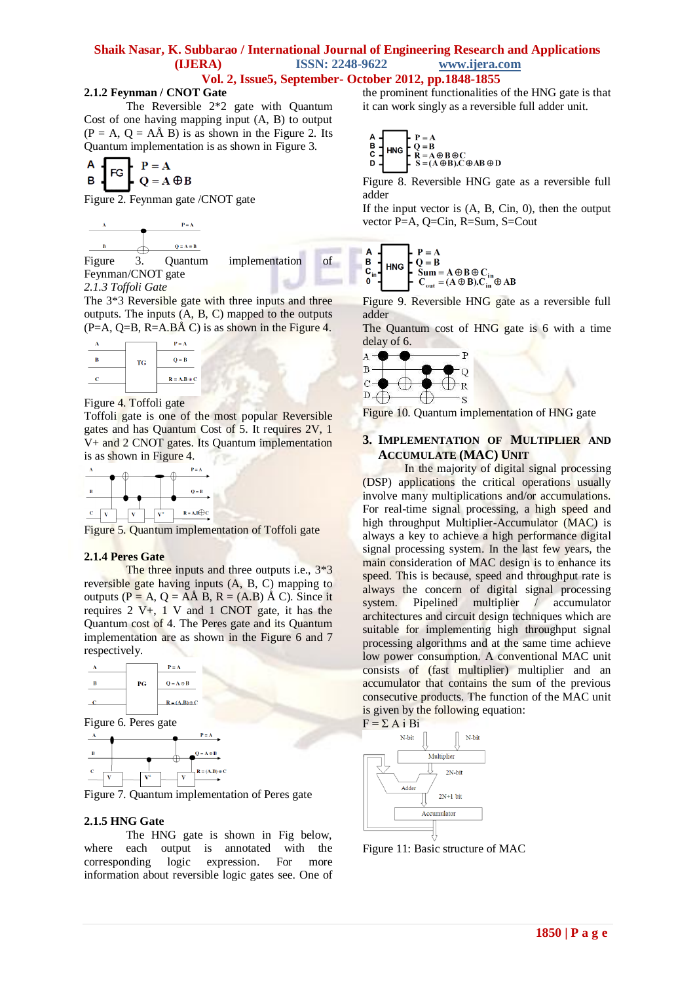## **Vol. 2, Issue5, September- October 2012, pp.1848-1855**

### **2.1.2 Feynman / CNOT Gate**

The Reversible 2\*2 gate with Quantum Cost of one having mapping input (A, B) to output  $(P = A, Q = A\AA B)$  is as shown in the Figure 2. Its Quantum implementation is as shown in Figure 3.

$$
\begin{array}{c}\nA \\
B\n\end{array}\n\qquad\n\begin{array}{c}\nF = A \\
Q = A \oplus B\n\end{array}
$$

Figure 2. Feynman gate /CNOT gate



Figure 3. Quantum implementation of Feynman/CNOT gate *2.1.3 Toffoli Gate*

The 3\*3 Reversible gate with three inputs and three outputs. The inputs (A, B, C) mapped to the outputs  $(P=A, Q=B, R=A, B\AA C)$  is as shown in the Figure 4.



Figure 4. Toffoli gate

Toffoli gate is one of the most popular Reversible gates and has Quantum Cost of 5. It requires 2V, 1 V+ and 2 CNOT gates. Its Quantum implementation is as shown in Figure 4.



Figure 5. Quantum implementation of Toffoli gate

#### **2.1.4 Peres Gate**

The three inputs and three outputs i.e.,  $3*3$ reversible gate having inputs (A, B, C) mapping to outputs ( $P = A$ ,  $Q = A\hat{A}B$ ,  $R = (A,B)\hat{A}C$ ). Since it requires 2 V+, 1 V and 1 CNOT gate, it has the Quantum cost of 4. The Peres gate and its Quantum implementation are as shown in the Figure 6 and 7 respectively.







Figure 7. Quantum implementation of Peres gate

#### **2.1.5 HNG Gate**

The HNG gate is shown in Fig below, where each output is annotated with the corresponding logic expression. For more information about reversible logic gates see. One of the prominent functionalities of the HNG gate is that it can work singly as a reversible full adder unit.

$$
\begin{array}{c}\nA \\
B \\
C \\
D\n\end{array}\n\qquad\n\begin{array}{c}\nP = A \\
Q = B \\
R = A \oplus B \oplus C \\
S = (A \oplus B).C \oplus AB \oplus D\n\end{array}
$$

Figure 8. Reversible HNG gate as a reversible full adder

If the input vector is  $(A, B, Cin, 0)$ , then the output vector P=A, Q=Cin, R=Sum, S=Cout

A  
\nB  
\n
$$
C_{in}
$$
\n
$$
C_{out} = (A \oplus B)C_{in}
$$
\n
$$
A \oplus B \oplus C_{in}
$$
\n
$$
C_{out} = (A \oplus B)C_{in} \oplus AB
$$

Figure 9. Reversible HNG gate as a reversible full adder

The Quantum cost of HNG gate is 6 with a time delay of 6.



Figure 10. Quantum implementation of HNG gate

### **3. IMPLEMENTATION OF MULTIPLIER AND ACCUMULATE (MAC) UNIT**

In the majority of digital signal processing (DSP) applications the critical operations usually involve many multiplications and/or accumulations. For real-time signal processing, a high speed and high throughput Multiplier-Accumulator (MAC) is always a key to achieve a high performance digital signal processing system. In the last few years, the main consideration of MAC design is to enhance its speed. This is because, speed and throughput rate is always the concern of digital signal processing system. Pipelined multiplier / accumulator architectures and circuit design techniques which are suitable for implementing high throughput signal processing algorithms and at the same time achieve low power consumption. A conventional MAC unit consists of (fast multiplier) multiplier and an accumulator that contains the sum of the previous consecutive products. The function of the MAC unit is given by the following equation:



Figure 11: Basic structure of MAC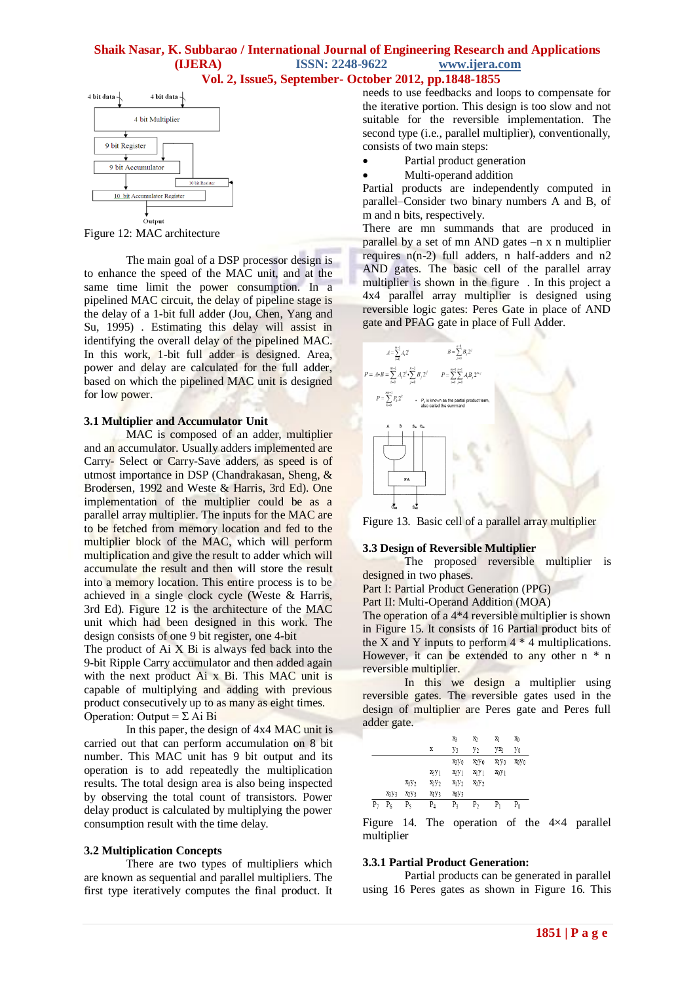### **Shaik Nasar, K. Subbarao / International Journal of Engineering Research and Applications (IJERA) ISSN: 2248-9622 www.ijera.com Vol. 2, Issue5, September- October 2012, pp.1848-1855**



Figure 12: MAC architecture

The main goal of a DSP processor design is to enhance the speed of the MAC unit, and at the same time limit the power consumption. In a pipelined MAC circuit, the delay of pipeline stage is the delay of a 1-bit full adder (Jou, Chen, Yang and Su, 1995) . Estimating this delay will assist in identifying the overall delay of the pipelined MAC. In this work, 1-bit full adder is designed. Area, power and delay are calculated for the full adder, based on which the pipelined MAC unit is designed for low power.

#### **3.1 Multiplier and Accumulator Unit**

MAC is composed of an adder, multiplier and an accumulator. Usually adders implemented are Carry- Select or Carry-Save adders, as speed is of utmost importance in DSP (Chandrakasan, Sheng, & Brodersen, 1992 and Weste & Harris, 3rd Ed). One implementation of the multiplier could be as a parallel array multiplier. The inputs for the MAC are to be fetched from memory location and fed to the multiplier block of the MAC, which will perform multiplication and give the result to adder which will accumulate the result and then will store the result into a memory location. This entire process is to be achieved in a single clock cycle (Weste & Harris, 3rd Ed). Figure 12 is the architecture of the MAC unit which had been designed in this work. The design consists of one 9 bit register, one 4-bit

The product of Ai X Bi is always fed back into the 9-bit Ripple Carry accumulator and then added again with the next product Ai x Bi. This MAC unit is capable of multiplying and adding with previous product consecutively up to as many as eight times. Operation: Output =  $\Sigma$  Ai Bi

In this paper, the design of 4x4 MAC unit is carried out that can perform accumulation on 8 bit number. This MAC unit has 9 bit output and its operation is to add repeatedly the multiplication results. The total design area is also being inspected by observing the total count of transistors. Power delay product is calculated by multiplying the power consumption result with the time delay.

#### **3.2 Multiplication Concepts**

There are two types of multipliers which are known as sequential and parallel multipliers. The first type iteratively computes the final product. It needs to use feedbacks and loops to compensate for the iterative portion. This design is too slow and not suitable for the reversible implementation. The second type (i.e., parallel multiplier), conventionally, consists of two main steps:

- Partial product generation
- Multi-operand addition

Partial products are independently computed in parallel–Consider two binary numbers A and B, of m and n bits, respectively.

There are mn summands that are produced in parallel by a set of mn AND gates –n x n multiplier requires  $n(n-2)$  full adders, n half-adders and n2 AND gates. The basic cell of the parallel array multiplier is shown in the figure . In this project a 4x4 parallel array multiplier is designed using reversible logic gates: Peres Gate in place of AND gate and PFAG gate in place of Full Adder.



Figure 13. Basic cell of a parallel array multiplier

## **3.3 Design of Reversible Multiplier**

The proposed reversible multiplier is designed in two phases.

Part I: Partial Product Generation (PPG)

Part II: Multi-Operand Addition (MOA)

The operation of a 4\*4 reversible multiplier is shown in Figure 15. It consists of 16 Partial product bits of the X and Y inputs to perform  $4 * 4$  multiplications. However, it can be extended to any other  $n * n$ reversible multiplier.

In this we design a multiplier using reversible gates. The reversible gates used in the design of multiplier are Peres gate and Peres full adder gate.

|            |      |      |                               | X3                            | X2                            | X)       | X <sub>0</sub> |
|------------|------|------|-------------------------------|-------------------------------|-------------------------------|----------|----------------|
|            |      |      | X                             | y3                            | y2                            | УX       | Уo             |
|            |      |      |                               | X3V0                          | X <sub>2</sub> V <sub>0</sub> | XI VO    | XOVO           |
|            |      |      | X3Y1                          | X <sub>2</sub> y <sub>1</sub> | $x_1y_1$                      | $x_0y_1$ |                |
|            |      | X3Y2 | X2Y2                          | X <sub>1</sub> Y <sub>2</sub> | X <sub>0</sub> Y <sub>2</sub> |          |                |
|            | X3Y3 | XyV3 | X <sub>1</sub> y <sub>3</sub> | XOY3                          |                               |          |                |
| $P_{\tau}$ | P6   | P٢   | P,                            | P٩                            | P,                            | P۱       | $_{\rm P_0}$   |

Figure 14. The operation of the 4×4 parallel multiplier

#### **3.3.1 Partial Product Generation:**

Partial products can be generated in parallel using 16 Peres gates as shown in Figure 16. This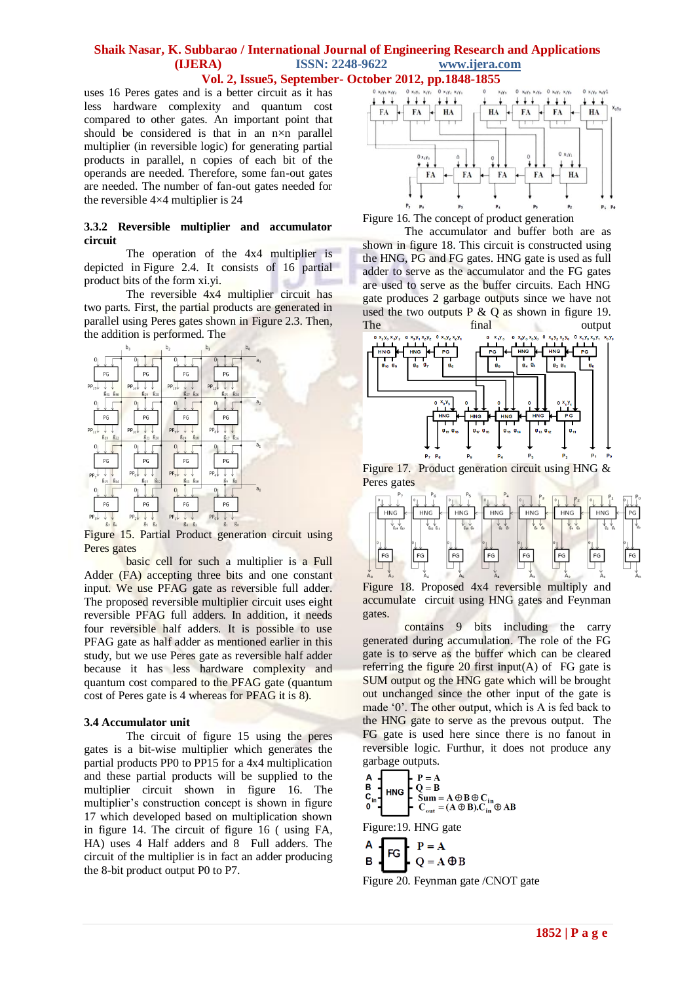uses 16 Peres gates and is a better circuit as it has less hardware complexity and quantum cost compared to other gates. An important point that should be considered is that in an n×n parallel multiplier (in reversible logic) for generating partial products in parallel, n copies of each bit of the operands are needed. Therefore, some fan-out gates are needed. The number of fan-out gates needed for the reversible 4×4 multiplier is 24

#### **3.3.2 Reversible multiplier and accumulator circuit**

The operation of the 4x4 multiplier is depicted in Figure 2.4. It consists of 16 partial product bits of the form xi.yi.

The reversible  $4x4$  multiplier circuit has two parts. First, the partial products are generated in parallel using Peres gates shown in Figure 2.3. Then, the addition is performed. The



Figure 15. Partial Product generation circuit using Peres gates

basic cell for such a multiplier is a Full Adder (FA) accepting three bits and one constant input. We use PFAG gate as reversible full adder. The proposed reversible multiplier circuit uses eight reversible PFAG full adders. In addition, it needs four reversible half adders. It is possible to use PFAG gate as half adder as mentioned earlier in this study, but we use Peres gate as reversible half adder because it has less hardware complexity and quantum cost compared to the PFAG gate (quantum cost of Peres gate is 4 whereas for PFAG it is 8).

#### **3.4 Accumulator unit**

The circuit of figure 15 using the peres gates is a bit-wise multiplier which generates the partial products PP0 to PP15 for a 4x4 multiplication and these partial products will be supplied to the multiplier circuit shown in figure 16. The multiplier's construction concept is shown in figure 17 which developed based on multiplication shown in figure 14. The circuit of figure 16 ( using FA, HA) uses 4 Half adders and 8 Full adders. The circuit of the multiplier is in fact an adder producing the 8-bit product output P0 to P7.



Figure 16. The concept of product generation

The accumulator and buffer both are as shown in figure 18. This circuit is constructed using the HNG, PG and FG gates. HNG gate is used as full adder to serve as the accumulator and the FG gates are used to serve as the buffer circuits. Each HNG gate produces 2 garbage outputs since we have not used the two outputs  $P \& Q$  as shown in figure 19. The final output



Figure 17. Product generation circuit using HNG & Peres gates



Figure 18. Proposed 4x4 reversible multiply and accumulate circuit using HNG gates and Feynman gates.

contains 9 bits including the carry generated during accumulation. The role of the FG gate is to serve as the buffer which can be cleared referring the figure 20 first input(A) of FG gate is SUM output og the HNG gate which will be brought out unchanged since the other input of the gate is made '0'. The other output, which is A is fed back to the HNG gate to serve as the prevous output. The FG gate is used here since there is no fanout in reversible logic. Furthur, it does not produce any garbage outputs.

| $\begin{array}{c} A \\ B \\ C_{\text{in}} \\ 0 \end{array}$<br>HNG | $\begin{array}{ll} \textsf{P} = \textsf{A} \\ \textsf{Q} = \textsf{B} \\ \textsf{Sum} = \textsf{A} \oplus \textsf{B} \oplus \textsf{C}_{\textsf{in}} \\ \textsf{P} \quad \textsf{C}_{\textsf{out}} = (\textsf{A} \oplus \textsf{B}).\textsf{C}_{\textsf{in}} \oplus \textsf{A} \textsf{B} \end{array}$ |
|--------------------------------------------------------------------|--------------------------------------------------------------------------------------------------------------------------------------------------------------------------------------------------------------------------------------------------------------------------------------------------------|
|                                                                    | Figure: 19. HNG gate                                                                                                                                                                                                                                                                                   |
| FG                                                                 | $P = A$                                                                                                                                                                                                                                                                                                |
| A<br>B                                                             | $= \mathbf{A} \oplus \mathbf{B}$                                                                                                                                                                                                                                                                       |

Figure 20. Feynman gate /CNOT gate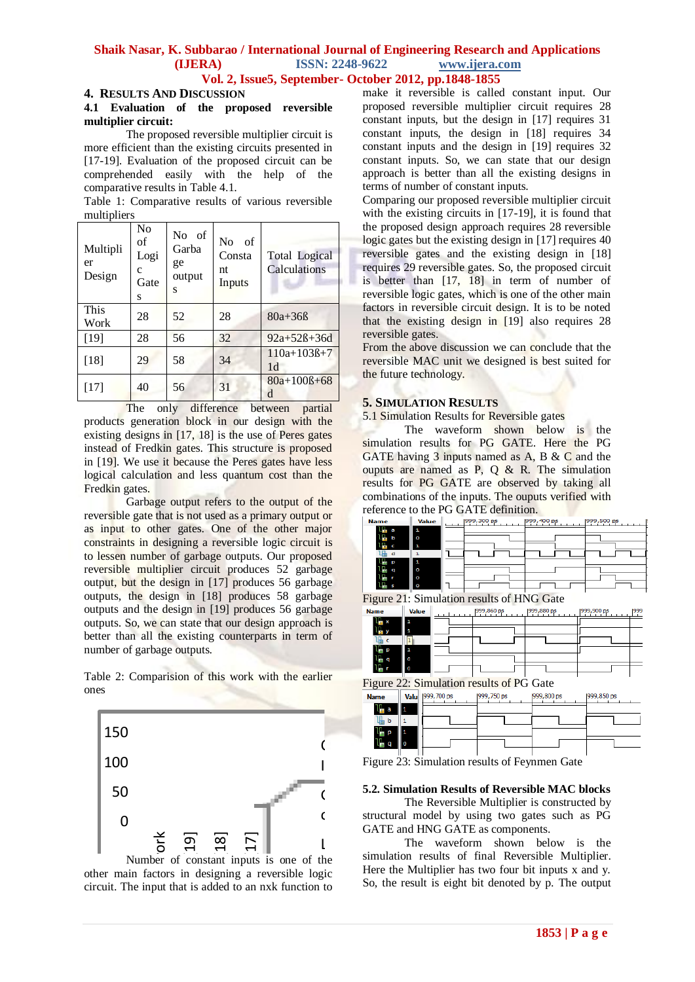## **Vol. 2, Issue5, September- October 2012, pp.1848-1855**

#### **4. RESULTS AND DISCUSSION**

#### **4.1 Evaluation of the proposed reversible multiplier circuit:**

The proposed reversible multiplier circuit is more efficient than the existing circuits presented in [17-19]. Evaluation of the proposed circuit can be comprehended easily with the help of the comparative results in Table 4.1.

Table 1: Comparative results of various reversible multipliers

| Multipli<br>er<br>Design | No<br>of<br>Logi<br>c<br>Gate<br>S | No of<br>Garba<br>ge<br>output<br>S | N <sub>0</sub><br>of<br>Consta<br>nt<br>Inputs | <b>Total Logical</b><br>Calculations |
|--------------------------|------------------------------------|-------------------------------------|------------------------------------------------|--------------------------------------|
| This<br>Work             | 28                                 | 52                                  | 28                                             | $80a + 36B$                          |
| $[19]$                   | 28                                 | 56                                  | 32                                             | $92a+52B+36d$                        |
| $[18]$                   | 29                                 | 58                                  | 34                                             | $110a+103B+7$<br>1 <sub>d</sub>      |
| [17]                     | 40                                 | 56                                  | 31                                             | $80a+100B+68$<br>d                   |

The only difference between partial products generation block in our design with the existing designs in [17, 18] is the use of Peres gates instead of Fredkin gates. This structure is proposed in [19]. We use it because the Peres gates have less logical calculation and less quantum cost than the Fredkin gates.

Garbage output refers to the output of the reversible gate that is not used as a primary output or as input to other gates. One of the other major constraints in designing a reversible logic circuit is to lessen number of garbage outputs. Our proposed reversible multiplier circuit produces 52 garbage output, but the design in [17] produces 56 garbage outputs, the design in [18] produces 58 garbage outputs and the design in [19] produces 56 garbage outputs. So, we can state that our design approach is better than all the existing counterparts in term of number of garbage outputs.

Table 2: Comparision of this work with the earlier ones



 $\begin{array}{ccc} \sum_{0}^{\infty} & \overline{0} & \overline{0} & \overline{0} \\ \text{per of constant inputs} & \text{at } \overline{1} & \text{at } \overline{1} \\ \text{at } \overline{1} & \text{at } \overline{1} & \text{at } \overline{1} \\ \text{out that is added to an } \end{array}$ Number of constant inputs is one of the other main factors in designing a reversible logic circuit. The input that is added to an nxk function to

make it reversible is called constant input. Our proposed reversible multiplier circuit requires 28 constant inputs, but the design in [17] requires 31 constant inputs, the design in [18] requires 34 constant inputs and the design in [19] requires 32 constant inputs. So, we can state that our design approach is better than all the existing designs in terms of number of constant inputs.

Comparing our proposed reversible multiplier circuit with the existing circuits in [17-19], it is found that the proposed design approach requires 28 reversible logic gates but the existing design in [17] requires 40 reversible gates and the existing design in [18] requires 29 reversible gates. So, the proposed circuit is better than [17, 18] in term of number of reversible logic gates, which is one of the other main factors in reversible circuit design. It is to be noted that the existing design in [19] also requires 28 reversible gates.

From the above discussion we can conclude that the reversible MAC unit we designed is best suited for the future technology.

#### **5. SIMULATION RESULTS**

5.1 Simulation Results for Reversible gates

The waveform shown below is the simulation results for PG GATE. Here the PG GATE having 3 inputs named as A, B & C and the ouputs are named as P,  $Q \& R$ . The simulation results for PG GATE are observed by taking all combinations of the inputs. The ouputs verified with reference to the PG GATE definition.



Figure 21: Simulation results of HNG Gate

| <b>Name</b>       | <b>Value</b> | 999,860 ps | 999,880 ps | 999,900 ps | 1999 |
|-------------------|--------------|------------|------------|------------|------|
| Т.<br>$\mathbf x$ |              |            |            |            |      |
|                   |              |            |            |            |      |
|                   |              |            |            |            |      |
| p                 |              |            |            |            |      |
| q<br>m.           | ٥            |            |            |            |      |
|                   | Ω            |            |            |            |      |
|                   |              |            |            |            |      |

Figure 22: Simulation results of PG Gate

| <b>Name</b> |          | Valu    999,700 ps | 999,750 ps | 999,800 ps | 1999,850 ps |
|-------------|----------|--------------------|------------|------------|-------------|
|             |          |                    |            |            |             |
| 噛り          |          |                    |            |            |             |
|             |          |                    |            |            |             |
|             | $\Omega$ |                    |            |            |             |

Figure 23: Simulation results of Feynmen Gate

# **5.2. Simulation Results of Reversible MAC blocks**<br>The Reversible Multiplier is constructed by

( structural model by using two gates such as PG The Reversible Multiplier is constructed by GATE and HNG GATE as components.

I also the Vaveform shown below is the simulation results of final Reversible Multiplier. The waveform shown below is the Here the Multiplier has two four bit inputs x and y. So, the result is eight bit denoted by p. The output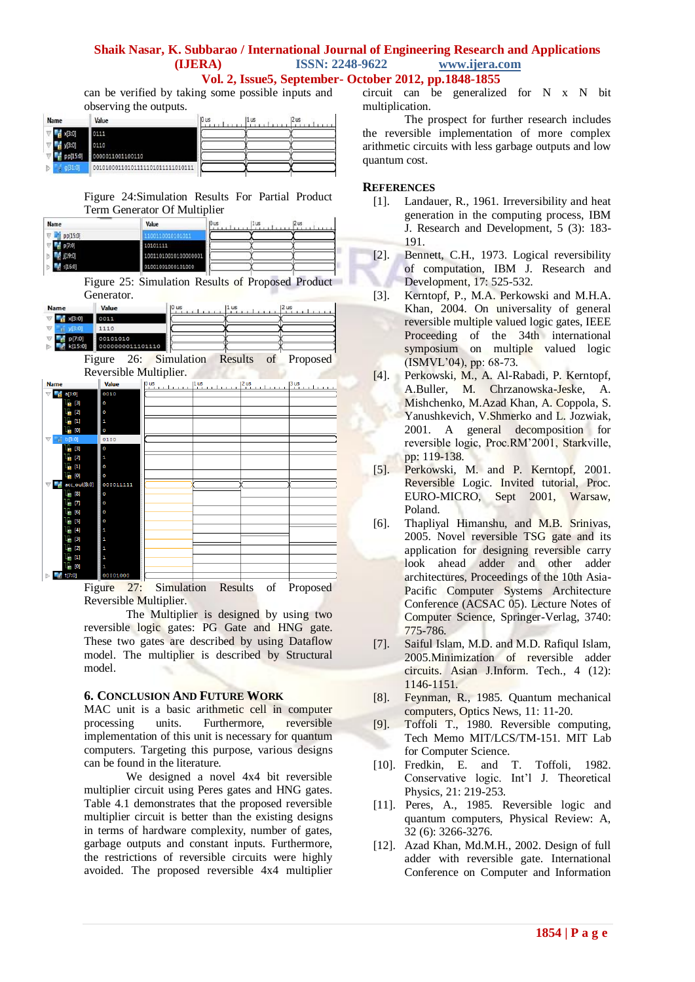**Vol. 2, Issue5, September- October 2012, pp.1848-1855**

can be verified by taking some possible inputs and observing the outputs.

| Name                  | Value                            | 10 us | 11 us | 12 us |
|-----------------------|----------------------------------|-------|-------|-------|
| $\frac{d}{dt}$ x[3:0] | 0111                             |       |       |       |
| y[3:0]                | 0110                             |       |       |       |
| pp[15:0]              | 0000011001100110                 |       |       |       |
| 031:01                | 00101000110101111101011111010111 |       |       |       |

Figure 24:Simulation Results For Partial Product Term Generator Of Multiplier

| Name                   | Value                | 10 us | 1u <sub>s</sub> | 12 us |  |
|------------------------|----------------------|-------|-----------------|-------|--|
| pp[15:0]               |                      |       |                 |       |  |
| 07:01                  | 10101111             |       |                 |       |  |
| $-1$ <sup>[19:0]</sup> | 10011010010100000001 |       |                 |       |  |
|                        | 01001001000101000    |       |                 |       |  |

Figure 25: Simulation Results of Proposed Product Generator.

| Name                                                                                                                                                                                                                                                                                                                                                                     | Value                        | $ 0 \t{u}s$<br>$\left  \begin{smallmatrix} 2 & \text{us} \\ 1 & 1 & \text{in} \end{smallmatrix} \right $<br>$ 1$ us |
|--------------------------------------------------------------------------------------------------------------------------------------------------------------------------------------------------------------------------------------------------------------------------------------------------------------------------------------------------------------------------|------------------------------|---------------------------------------------------------------------------------------------------------------------|
| x[3:0]                                                                                                                                                                                                                                                                                                                                                                   | 0011                         |                                                                                                                     |
| y 3:0 <br>$\bigtriangledown$                                                                                                                                                                                                                                                                                                                                             | 1110                         |                                                                                                                     |
| p[7:0]<br>k[15:0]                                                                                                                                                                                                                                                                                                                                                        | 00101010<br>0000000011101110 |                                                                                                                     |
|                                                                                                                                                                                                                                                                                                                                                                          |                              | Figure 26: Simulation Results of Proposed                                                                           |
|                                                                                                                                                                                                                                                                                                                                                                          |                              | Reversible Multiplier.                                                                                              |
| <b>Name</b>                                                                                                                                                                                                                                                                                                                                                              | <b>Value</b>                 | $\frac{p_{us}}{p_{u} + p_{u} + p_{u} + p_{u}}$<br>$\frac{1}{2}$ us<br>$2$ us<br>$\cdots$<br>$3 \text{us}$           |
| a[3:0]                                                                                                                                                                                                                                                                                                                                                                   | 0010                         |                                                                                                                     |
| $L_{\rm H}$ [3]                                                                                                                                                                                                                                                                                                                                                          | o                            |                                                                                                                     |
| [2]<br>÷                                                                                                                                                                                                                                                                                                                                                                 | ٥                            |                                                                                                                     |
| $[1] % \centering \includegraphics[width=0.3\textwidth]{images/TrDiM-Architecture.png} % \caption{The first two different values of $d \sim \tfrac{1}{2}$. The first two different values of $d$ and $d$ are the same as in Figure~\ref{fig:10}. The second two different values of $d$ and $d$ are the same as in Figure~\ref{fig:10}.} \label{fig:TrDiM-Architecture}$ |                              |                                                                                                                     |
| 10                                                                                                                                                                                                                                                                                                                                                                       | ο                            |                                                                                                                     |
| b[3:0]<br>'n                                                                                                                                                                                                                                                                                                                                                             | 0100                         |                                                                                                                     |
| [3]                                                                                                                                                                                                                                                                                                                                                                      | ٥                            |                                                                                                                     |
| $[2]$                                                                                                                                                                                                                                                                                                                                                                    |                              |                                                                                                                     |
| [1]                                                                                                                                                                                                                                                                                                                                                                      | Ω                            |                                                                                                                     |
| $\left[0\right]$                                                                                                                                                                                                                                                                                                                                                         | ٥                            |                                                                                                                     |
| acc_out[8:0]                                                                                                                                                                                                                                                                                                                                                             | 000011111                    |                                                                                                                     |

Figure 27: Simulation Results of Proposed Reversible Multiplier.

The Multiplier is designed by using two reversible logic gates: PG Gate and HNG gate. These two gates are described by using Dataflow model. The multiplier is described by Structural model.

#### **6. CONCLUSION AND FUTURE WORK**

MAC unit is a basic arithmetic cell in computer processing units. Furthermore, reversible implementation of this unit is necessary for quantum computers. Targeting this purpose, various designs can be found in the literature.

We designed a novel 4x4 bit reversible multiplier circuit using Peres gates and HNG gates. Table 4.1 demonstrates that the proposed reversible multiplier circuit is better than the existing designs in terms of hardware complexity, number of gates, garbage outputs and constant inputs. Furthermore, the restrictions of reversible circuits were highly avoided. The proposed reversible 4x4 multiplier

circuit can be generalized for N x N bit multiplication.

The prospect for further research includes the reversible implementation of more complex arithmetic circuits with less garbage outputs and low quantum cost.

## **REFERENCES**

- [1]. Landauer, R., 1961. Irreversibility and heat generation in the computing process, IBM J. Research and Development, 5 (3): 183- 191.
- [2]. Bennett, C.H., 1973. Logical reversibility of computation, IBM J. Research and Development, 17: 525-532.
- [3]. Kerntopf, P., M.A. Perkowski and M.H.A. Khan, 2004. On universality of general reversible multiple valued logic gates, IEEE Proceeding of the 34th international symposium on multiple valued logic (ISMVL'04), pp: 68-73.
- [4]. Perkowski, M., A. Al-Rabadi, P. Kerntopf, A.Buller, M. Chrzanowska-Jeske, A. Mishchenko, M.Azad Khan, A. Coppola, S. Yanushkevich, V.Shmerko and L. Jozwiak, 2001. A general decomposition for reversible logic, Proc.RM'2001, Starkville, pp: 119-138.
- [5]. Perkowski, M. and P. Kerntopf, 2001. Reversible Logic. Invited tutorial, Proc. EURO-MICRO, Sept 2001, Warsaw, Poland.
- [6]. Thapliyal Himanshu, and M.B. Srinivas, 2005. Novel reversible TSG gate and its application for designing reversible carry look ahead adder and other adder architectures, Proceedings of the 10th Asia-Pacific Computer Systems Architecture Conference (ACSAC 05). Lecture Notes of Computer Science, Springer-Verlag, 3740: 775-786.
- [7]. Saiful Islam, M.D. and M.D. Rafiqul Islam, 2005.Minimization of reversible adder circuits. Asian J.Inform. Tech., 4 (12): 1146-1151.
- [8]. Feynman, R., 1985. Quantum mechanical computers, Optics News, 11: 11-20.
- [9]. Toffoli T., 1980. Reversible computing, Tech Memo MIT/LCS/TM-151. MIT Lab for Computer Science.
- [10]. Fredkin, E. and T. Toffoli, 1982. Conservative logic. Int'l J. Theoretical Physics, 21: 219-253.
- [11]. Peres, A., 1985. Reversible logic and quantum computers, Physical Review: A, 32 (6): 3266-3276.
- [12]. Azad Khan, Md.M.H., 2002. Design of full adder with reversible gate. International Conference on Computer and Information